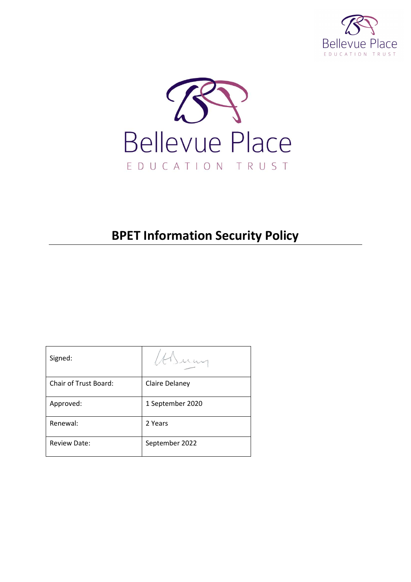



# **BPET Information Security Policy**

| Signed:                      |                  |
|------------------------------|------------------|
| <b>Chair of Trust Board:</b> | Claire Delaney   |
| Approved:                    | 1 September 2020 |
| Renewal:                     | 2 Years          |
| <b>Review Date:</b>          | September 2022   |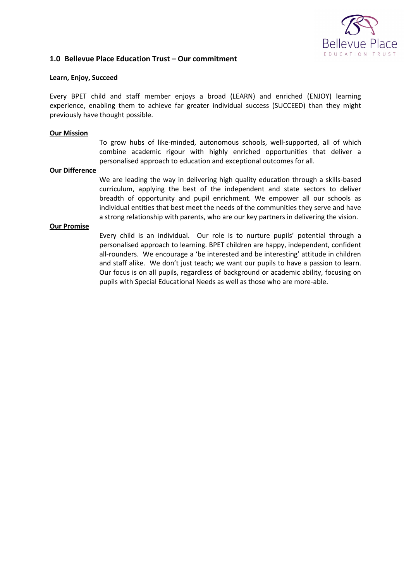

#### **1.0 Bellevue Place Education Trust – Our commitment**

#### **Learn, Enjoy, Succeed**

Every BPET child and staff member enjoys a broad (LEARN) and enriched (ENJOY) learning experience, enabling them to achieve far greater individual success (SUCCEED) than they might previously have thought possible.

#### **Our Mission**

To grow hubs of like-minded, autonomous schools, well-supported, all of which combine academic rigour with highly enriched opportunities that deliver a personalised approach to education and exceptional outcomes for all.

#### **Our Difference**

We are leading the way in delivering high quality education through a skills-based curriculum, applying the best of the independent and state sectors to deliver breadth of opportunity and pupil enrichment. We empower all our schools as individual entities that best meet the needs of the communities they serve and have a strong relationship with parents, who are our key partners in delivering the vision.

#### **Our Promise**

Every child is an individual. Our role is to nurture pupils' potential through a personalised approach to learning. BPET children are happy, independent, confident all-rounders. We encourage a 'be interested and be interesting' attitude in children and staff alike. We don't just teach; we want our pupils to have a passion to learn. Our focus is on all pupils, regardless of background or academic ability, focusing on pupils with Special Educational Needs as well as those who are more-able.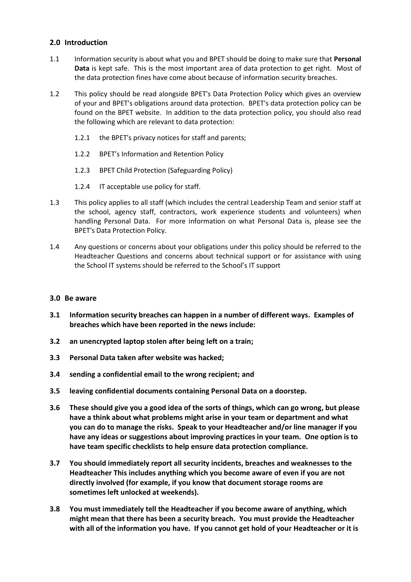## **2.0 Introduction**

- 1.1 Information security is about what you and BPET should be doing to make sure that **Personal Data** is kept safe. This is the most important area of data protection to get right. Most of the data protection fines have come about because of information security breaches.
- 1.2 This policy should be read alongside BPET's Data Protection Policy which gives an overview of your and BPET's obligations around data protection. BPET's data protection policy can be found on the BPET website. In addition to the data protection policy, you should also read the following which are relevant to data protection:
	- 1.2.1 the BPET's privacy notices for staff and parents;
	- 1.2.2 BPET's Information and Retention Policy
	- 1.2.3 BPET Child Protection (Safeguarding Policy)
	- 1.2.4 IT acceptable use policy for staff.
- 1.3 This policy applies to all staff (which includes the central Leadership Team and senior staff at the school, agency staff, contractors, work experience students and volunteers) when handling Personal Data. For more information on what Personal Data is, please see the BPET's Data Protection Policy.
- 1.4 Any questions or concerns about your obligations under this policy should be referred to the Headteacher Questions and concerns about technical support or for assistance with using the School IT systems should be referred to the School's IT support

#### **3.0 Be aware**

- **3.1 Information security breaches can happen in a number of different ways. Examples of breaches which have been reported in the news include:**
- **3.2 an unencrypted laptop stolen after being left on a train;**
- **3.3 Personal Data taken after website was hacked;**
- **3.4 sending a confidential email to the wrong recipient; and**
- **3.5 leaving confidential documents containing Personal Data on a doorstep.**
- **3.6 These should give you a good idea of the sorts of things, which can go wrong, but please have a think about what problems might arise in your team or department and what you can do to manage the risks. Speak to your Headteacher and/or line manager if you have any ideas or suggestions about improving practices in your team. One option is to have team specific checklists to help ensure data protection compliance.**
- **3.7 You should immediately report all security incidents, breaches and weaknesses to the Headteacher This includes anything which you become aware of even if you are not directly involved (for example, if you know that document storage rooms are sometimes left unlocked at weekends).**
- **3.8 You must immediately tell the Headteacher if you become aware of anything, which might mean that there has been a security breach. You must provide the Headteacher with all of the information you have. If you cannot get hold of your Headteacher or it is**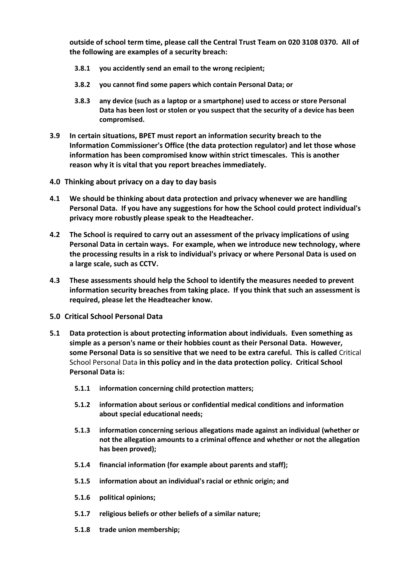**outside of school term time, please call the Central Trust Team on 020 3108 0370. All of the following are examples of a security breach:**

- **3.8.1 you accidently send an email to the wrong recipient;**
- **3.8.2 you cannot find some papers which contain Personal Data; or**
- **3.8.3 any device (such as a laptop or a smartphone) used to access or store Personal Data has been lost or stolen or you suspect that the security of a device has been compromised.**
- **3.9 In certain situations, BPET must report an information security breach to the Information Commissioner's Office (the data protection regulator) and let those whose information has been compromised know within strict timescales. This is another reason why it is vital that you report breaches immediately.**
- **4.0 Thinking about privacy on a day to day basis**
- **4.1 We should be thinking about data protection and privacy whenever we are handling Personal Data. If you have any suggestions for how the School could protect individual's privacy more robustly please speak to the Headteacher.**
- **4.2 The School is required to carry out an assessment of the privacy implications of using Personal Data in certain ways. For example, when we introduce new technology, where the processing results in a risk to individual's privacy or where Personal Data is used on a large scale, such as CCTV.**
- **4.3 These assessments should help the School to identify the measures needed to prevent information security breaches from taking place. If you think that such an assessment is required, please let the Headteacher know.**
- **5.0 Critical School Personal Data**
- **5.1 Data protection is about protecting information about individuals. Even something as simple as a person's name or their hobbies count as their Personal Data. However, some Personal Data is so sensitive that we need to be extra careful. This is called** Critical School Personal Data **in this policy and in the data protection policy. Critical School Personal Data is:**
	- **5.1.1 information concerning child protection matters;**
	- **5.1.2 information about serious or confidential medical conditions and information about special educational needs;**
	- **5.1.3 information concerning serious allegations made against an individual (whether or not the allegation amounts to a criminal offence and whether or not the allegation has been proved);**
	- **5.1.4 financial information (for example about parents and staff);**
	- **5.1.5 information about an individual's racial or ethnic origin; and**
	- **5.1.6 political opinions;**
	- **5.1.7 religious beliefs or other beliefs of a similar nature;**
	- **5.1.8 trade union membership;**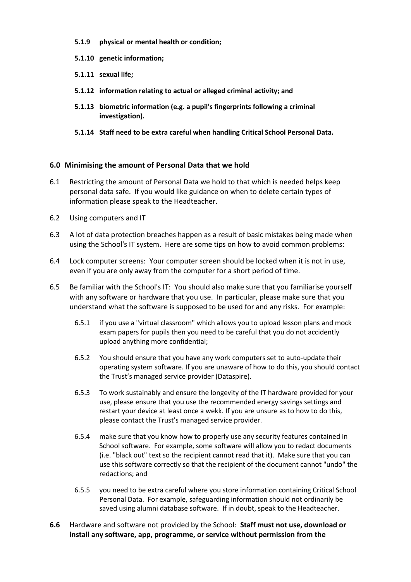- **5.1.9 physical or mental health or condition;**
- **5.1.10 genetic information;**
- **5.1.11 sexual life;**
- **5.1.12 information relating to actual or alleged criminal activity; and**
- **5.1.13 biometric information (e.g. a pupil's fingerprints following a criminal investigation).**
- **5.1.14 Staff need to be extra careful when handling Critical School Personal Data.**

## **6.0 Minimising the amount of Personal Data that we hold**

- 6.1 Restricting the amount of Personal Data we hold to that which is needed helps keep personal data safe. If you would like guidance on when to delete certain types of information please speak to the Headteacher.
- 6.2 Using computers and IT
- 6.3 A lot of data protection breaches happen as a result of basic mistakes being made when using the School's IT system. Here are some tips on how to avoid common problems:
- 6.4 Lock computer screens: Your computer screen should be locked when it is not in use, even if you are only away from the computer for a short period of time.
- 6.5 Be familiar with the School's IT: You should also make sure that you familiarise yourself with any software or hardware that you use. In particular, please make sure that you understand what the software is supposed to be used for and any risks. For example:
	- 6.5.1 if you use a "virtual classroom" which allows you to upload lesson plans and mock exam papers for pupils then you need to be careful that you do not accidently upload anything more confidential;
	- 6.5.2 You should ensure that you have any work computers set to auto-update their operating system software. If you are unaware of how to do this, you should contact the Trust's managed service provider (Dataspire).
	- 6.5.3 To work sustainably and ensure the longevity of the IT hardware provided for your use, please ensure that you use the recommended energy savings settings and restart your device at least once a wekk. If you are unsure as to how to do this, please contact the Trust's managed service provider.
	- 6.5.4 make sure that you know how to properly use any security features contained in School software. For example, some software will allow you to redact documents (i.e. "black out" text so the recipient cannot read that it). Make sure that you can use this software correctly so that the recipient of the document cannot "undo" the redactions; and
	- 6.5.5 you need to be extra careful where you store information containing Critical School Personal Data. For example, safeguarding information should not ordinarily be saved using alumni database software. If in doubt, speak to the Headteacher.
- **6.6** Hardware and software not provided by the School: **Staff must not use, download or install any software, app, programme, or service without permission from the**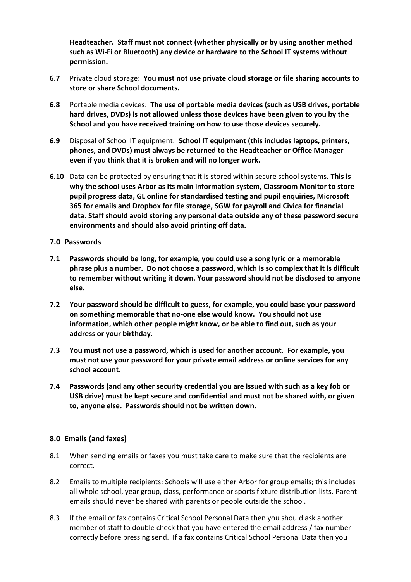**Headteacher. Staff must not connect (whether physically or by using another method such as Wi-Fi or Bluetooth) any device or hardware to the School IT systems without permission.** 

- **6.7** Private cloud storage: **You must not use private cloud storage or file sharing accounts to store or share School documents.**
- **6.8** Portable media devices: **The use of portable media devices (such as USB drives, portable hard drives, DVDs) is not allowed unless those devices have been given to you by the School and you have received training on how to use those devices securely.**
- **6.9** Disposal of School IT equipment: **School IT equipment (this includes laptops, printers, phones, and DVDs) must always be returned to the Headteacher or Office Manager even if you think that it is broken and will no longer work.**
- **6.10** Data can be protected by ensuring that it is stored within secure school systems. **This is why the school uses Arbor as its main information system, Classroom Monitor to store pupil progress data, GL online for standardised testing and pupil enquiries, Microsoft 365 for emails and Dropbox for file storage, SGW for payroll and Civica for financial data. Staff should avoid storing any personal data outside any of these password secure environments and should also avoid printing off data.**

#### <span id="page-5-0"></span>**7.0 Passwords**

- **7.1 Passwords should be long, for example, you could use a song lyric or a memorable phrase plus a number. Do not choose a password, which is so complex that it is difficult to remember without writing it down. Your password should not be disclosed to anyone else.**
- **7.2 Your password should be difficult to guess, for example, you could base your password on something memorable that no-one else would know. You should not use information, which other people might know, or be able to find out, such as your address or your birthday.**
- **7.3 You must not use a password, which is used for another account. For example, you must not use your password for your private email address or online services for any school account.**
- **7.4 Passwords (and any other security credential you are issued with such as a key fob or USB drive) must be kept secure and confidential and must not be shared with, or given to, anyone else. Passwords should not be written down.**

## **8.0 Emails (and faxes)**

- 8.1 When sending emails or faxes you must take care to make sure that the recipients are correct.
- 8.2 Emails to multiple recipients: Schools will use either Arbor for group emails; this includes all whole school, year group, class, performance or sports fixture distribution lists. Parent emails should never be shared with parents or people outside the school.
- 8.3 If the email or fax contains Critical School Personal Data then you should ask another member of staff to double check that you have entered the email address / fax number correctly before pressing send. If a fax contains Critical School Personal Data then you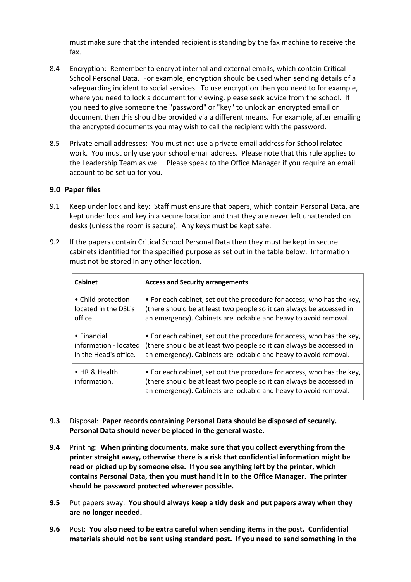must make sure that the intended recipient is standing by the fax machine to receive the fax.

- 8.4 Encryption: Remember to encrypt internal and external emails, which contain Critical School Personal Data. For example, encryption should be used when sending details of a safeguarding incident to social services. To use encryption then you need to for example, where you need to lock a document for viewing, please seek advice from the school. If you need to give someone the "password" or "key" to unlock an encrypted email or document then this should be provided via a different means. For example, after emailing the encrypted documents you may wish to call the recipient with the password.
- 8.5 Private email addresses: You must not use a private email address for School related work. You must only use your school email address. Please note that this rule applies to the Leadership Team as well. Please speak to the Office Manager if you require an email account to be set up for you.

#### **9.0 Paper files**

- 9.1 Keep under lock and key: Staff must ensure that papers, which contain Personal Data, are kept under lock and key in a secure location and that they are never left unattended on desks (unless the room is secure). Any keys must be kept safe.
- 9.2 If the papers contain Critical School Personal Data then they must be kept in secure cabinets identified for the specified purpose as set out in the table below. Information must not be stored in any other location.

| <b>Cabinet</b>                | <b>Access and Security arrangements</b>                                                                                                                                                                            |
|-------------------------------|--------------------------------------------------------------------------------------------------------------------------------------------------------------------------------------------------------------------|
| • Child protection -          | • For each cabinet, set out the procedure for access, who has the key,                                                                                                                                             |
| located in the DSL's          | (there should be at least two people so it can always be accessed in                                                                                                                                               |
| office.                       | an emergency). Cabinets are lockable and heavy to avoid removal.                                                                                                                                                   |
| $\bullet$ Financial           | • For each cabinet, set out the procedure for access, who has the key,                                                                                                                                             |
| information - located         | (there should be at least two people so it can always be accessed in                                                                                                                                               |
| in the Head's office.         | an emergency). Cabinets are lockable and heavy to avoid removal.                                                                                                                                                   |
| • HR & Health<br>information. | • For each cabinet, set out the procedure for access, who has the key,<br>(there should be at least two people so it can always be accessed in<br>an emergency). Cabinets are lockable and heavy to avoid removal. |

- **9.3** Disposal: **Paper records containing Personal Data should be disposed of securely. Personal Data should never be placed in the general waste.**
- **9.4** Printing: **When printing documents, make sure that you collect everything from the printer straight away, otherwise there is a risk that confidential information might be read or picked up by someone else. If you see anything left by the printer, which contains Personal Data, then you must hand it in to the Office Manager. The printer should be password protected wherever possible.**
- **9.5** Put papers away: **You should always keep a tidy desk and put papers away when they are no longer needed.**
- **9.6** Post: **You also need to be extra careful when sending items in the post. Confidential materials should not be sent using standard post. If you need to send something in the**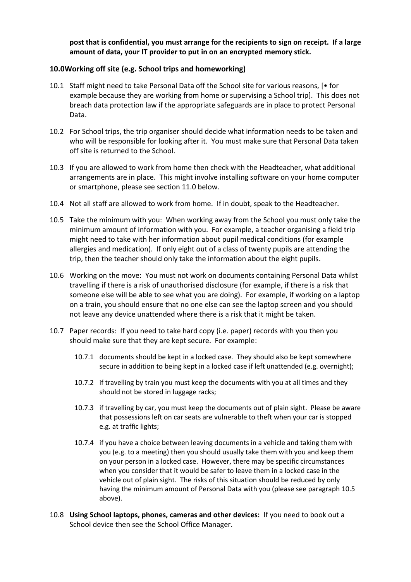**post that is confidential, you must arrange for the recipients to sign on receipt. If a large amount of data, your IT provider to put in on an encrypted memory stick.**

## **10.0Working off site (e.g. School trips and homeworking)**

- 10.1 Staff might need to take Personal Data off the School site for various reasons, [• for example because they are working from home or supervising a School trip]. This does not breach data protection law if the appropriate safeguards are in place to protect Personal Data.
- 10.2 For School trips, the trip organiser should decide what information needs to be taken and who will be responsible for looking after it. You must make sure that Personal Data taken off site is returned to the School.
- 10.3 If you are allowed to work from home then check with the Headteacher, what additional arrangements are in place. This might involve installing software on your home computer or smartphone, please see sectio[n 11.0](#page-8-0) below.
- 10.4 Not all staff are allowed to work from home. If in doubt, speak to the Headteacher.
- <span id="page-7-0"></span>10.5 Take the minimum with you: When working away from the School you must only take the minimum amount of information with you. For example, a teacher organising a field trip might need to take with her information about pupil medical conditions (for example allergies and medication). If only eight out of a class of twenty pupils are attending the trip, then the teacher should only take the information about the eight pupils.
- 10.6 Working on the move: You must not work on documents containing Personal Data whilst travelling if there is a risk of unauthorised disclosure (for example, if there is a risk that someone else will be able to see what you are doing). For example, if working on a laptop on a train, you should ensure that no one else can see the laptop screen and you should not leave any device unattended where there is a risk that it might be taken.
- 10.7 Paper records: If you need to take hard copy (i.e. paper) records with you then you should make sure that they are kept secure. For example:
	- 10.7.1 documents should be kept in a locked case. They should also be kept somewhere secure in addition to being kept in a locked case if left unattended (e.g. overnight);
	- 10.7.2 if travelling by train you must keep the documents with you at all times and they should not be stored in luggage racks;
	- 10.7.3 if travelling by car, you must keep the documents out of plain sight. Please be aware that possessions left on car seats are vulnerable to theft when your car is stopped e.g. at traffic lights;
	- 10.7.4 if you have a choice between leaving documents in a vehicle and taking them with you (e.g. to a meeting) then you should usually take them with you and keep them on your person in a locked case. However, there may be specific circumstances when you consider that it would be safer to leave them in a locked case in the vehicle out of plain sight. The risks of this situation should be reduced by only having the minimum amount of Personal Data with you (please see paragraph [10.5](#page-7-0) above).
- 10.8 **Using School laptops, phones, cameras and other devices:** If you need to book out a School device then see the School Office Manager.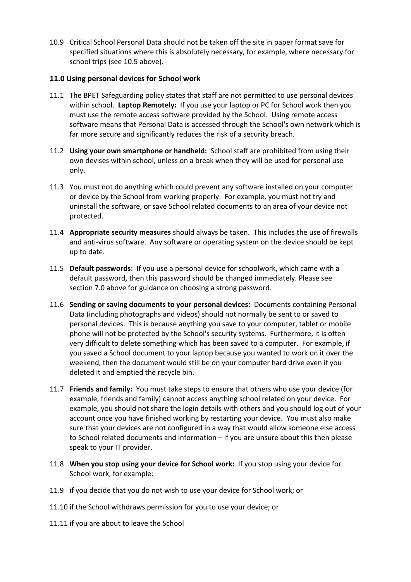10.9 Critical School Personal Data should not be taken off the site in paper format save for specified situations where this is absolutely necessary, for example, where necessary for school trips (see [10.5](#page-7-0) above).

## <span id="page-8-0"></span>**11.0 Using personal devices for School work**

- 11.1 The BPET Safeguarding policy states that staff are not permitted to use personal devices within school. **Laptop Remotely:** If you use your laptop or PC for School work then you must use the remote access software provided by the School. Using remote access software means that Personal Data is accessed through the School's own network which is far more secure and significantly reduces the risk of a security breach.
- 11.2 **Using your own smartphone or handheld:** School staff are prohibited from using their own devises within school, unless on a break when they will be used for personal use only.
- 11.3 You must not do anything which could prevent any software installed on your computer or device by the School from working properly. For example, you must not try and uninstall the software, or save School related documents to an area of your device not protected.
- 11.4 **Appropriate security measures** should always be taken. This includes the use of firewalls and anti-virus software. Any software or operating system on the device should be kept up to date.
- 11.5 **Default passwords**: If you use a personal device for schoolwork, which came with a default password, then this password should be changed immediately. Please see section [7.0](#page-5-0) above for guidance on choosing a strong password.
- 11.6 **Sending or saving documents to your personal devices:** Documents containing Personal Data (including photographs and videos) should not normally be sent to or saved to personal devices. This is because anything you save to your computer, tablet or mobile phone will not be protected by the School's security systems. Furthermore, it is often very difficult to delete something which has been saved to a computer. For example, if you saved a School document to your laptop because you wanted to work on it over the weekend, then the document would still be on your computer hard drive even if you deleted it and emptied the recycle bin.
- 11.7 **Friends and family:** You must take steps to ensure that others who use your device (for example, friends and family) cannot access anything school related on your device. For example, you should not share the login details with others and you should log out of your account once you have finished working by restarting your device. You must also make sure that your devices are not configured in a way that would allow someone else access to School related documents and information – if you are unsure about this then please speak to your IT provider.
- 11.8 **When you stop using your device for School work:** If you stop using your device for School work, for example:
- 11.9 if you decide that you do not wish to use your device for School work; or
- 11.10 if the School withdraws permission for you to use your device; or
- 11.11 if you are about to leave the School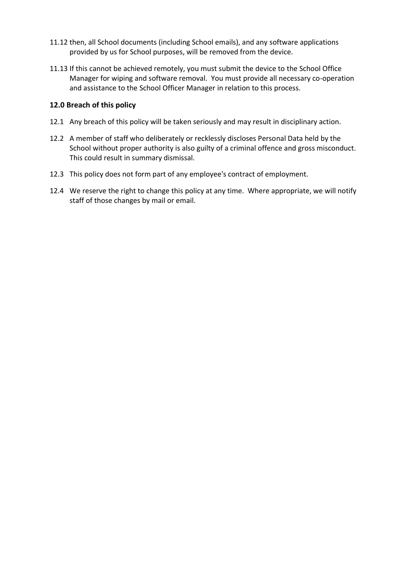- 11.12 then, all School documents (including School emails), and any software applications provided by us for School purposes, will be removed from the device.
- 11.13 If this cannot be achieved remotely, you must submit the device to the School Office Manager for wiping and software removal. You must provide all necessary co-operation and assistance to the School Officer Manager in relation to this process.

#### **12.0 Breach of this policy**

- 12.1 Any breach of this policy will be taken seriously and may result in disciplinary action.
- 12.2 A member of staff who deliberately or recklessly discloses Personal Data held by the School without proper authority is also guilty of a criminal offence and gross misconduct. This could result in summary dismissal.
- 12.3 This policy does not form part of any employee's contract of employment.
- 12.4 We reserve the right to change this policy at any time. Where appropriate, we will notify staff of those changes by mail or email.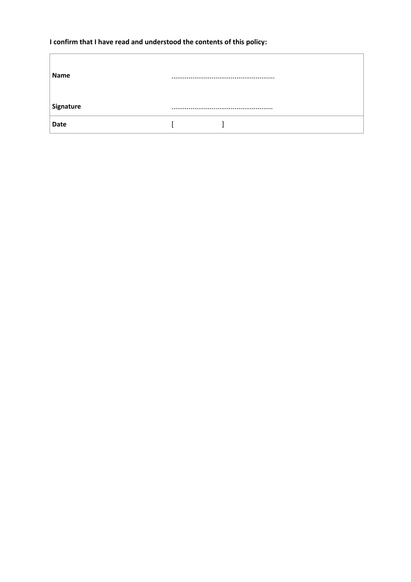## **I confirm that I have read and understood the contents of this policy:**

| Name      |  |  |
|-----------|--|--|
| Signature |  |  |
| Date      |  |  |